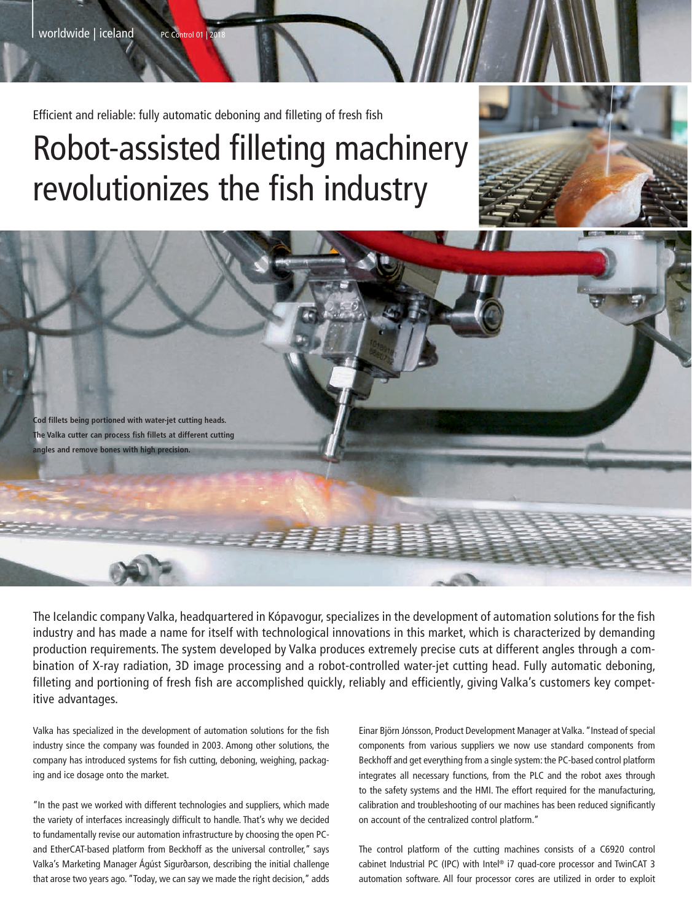$\frac{1}{2}$ 

Efficient and reliable: fully automatic deboning and filleting of fresh fish

## Robot-assisted filleting machinery revolutionizes the fish industry



**Cod fillets being portioned with water-jet cutting heads. The Valka cutter can process fish fillets at different cutting angles and remove bones with high precision.**

The Icelandic company Valka, headquartered in Kópavogur, specializes in the development of automation solutions for the fish industry and has made a name for itself with technological innovations in this market, which is characterized by demanding production requirements. The system developed by Valka produces extremely precise cuts at different angles through a combination of X-ray radiation, 3D image processing and a robot-controlled water-jet cutting head. Fully automatic deboning, filleting and portioning of fresh fish are accomplished quickly, reliably and efficiently, giving Valka's customers key competitive advantages.

Valka has specialized in the development of automation solutions for the fish industry since the company was founded in 2003. Among other solutions, the company has introduced systems for fish cutting, deboning, weighing, packaging and ice dosage onto the market.

"In the past we worked with different technologies and suppliers, which made the variety of interfaces increasingly difficult to handle. That's why we decided to fundamentally revise our automation infrastructure by choosing the open PCand EtherCAT-based platform from Beckhoff as the universal controller," says Valka's Marketing Manager Ágúst Sigurðarson, describing the initial challenge that arose two years ago. "Today, we can say we made the right decision," adds Einar Björn Jónsson, Product Development Manager at Valka. "Instead of special components from various suppliers we now use standard components from Beckhoff and get everything from a single system: the PC-based control platform integrates all necessary functions, from the PLC and the robot axes through to the safety systems and the HMI. The effort required for the manufacturing, calibration and troubleshooting of our machines has been reduced significantly on account of the centralized control platform."

The control platform of the cutting machines consists of a C6920 control cabinet Industrial PC (IPC) with Intel® i7 quad-core processor and TwinCAT 3 automation software. All four processor cores are utilized in order to exploit